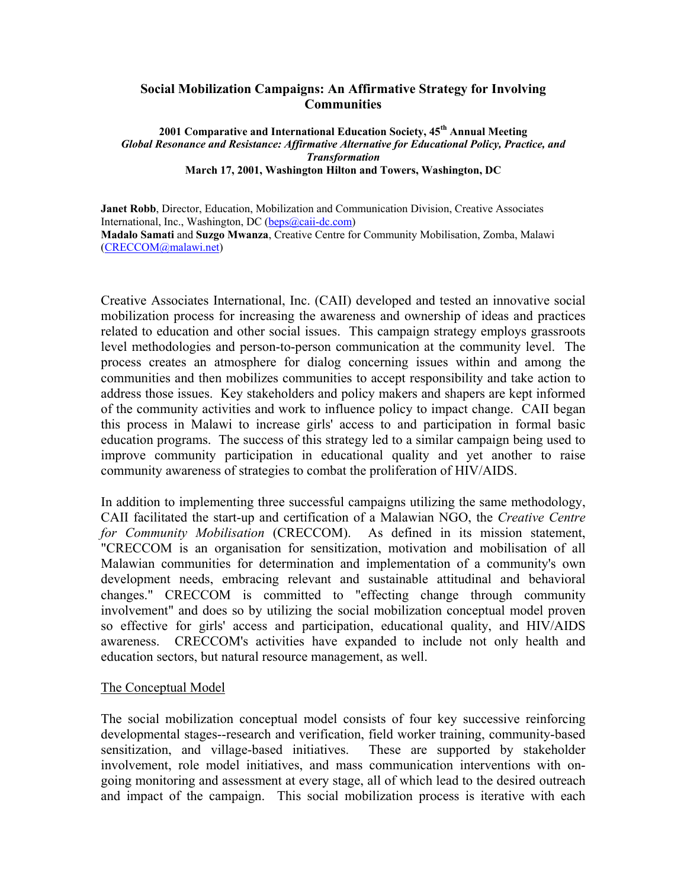## **Social Mobilization Campaigns: An Affirmative Strategy for Involving Communities**

**2001 Comparative and International Education Society, 45th Annual Meeting**  *Global Resonance and Resistance: Affirmative Alternative for Educational Policy, Practice, and Transformation*  **March 17, 2001, Washington Hilton and Towers, Washington, DC** 

**Janet Robb**, Director, Education, Mobilization and Communication Division, Creative Associates International, Inc., Washington, DC [\(beps@caii-dc.com\)](mailto:beps@caii-dc.com) **Madalo Samati** and **Suzgo Mwanza**, Creative Centre for Community Mobilisation, Zomba, Malawi [\(CRECCOM@malawi.net\)](mailto:CRECCOM@malawi.net) 

Creative Associates International, Inc. (CAII) developed and tested an innovative social mobilization process for increasing the awareness and ownership of ideas and practices related to education and other social issues. This campaign strategy employs grassroots level methodologies and person-to-person communication at the community level. The process creates an atmosphere for dialog concerning issues within and among the communities and then mobilizes communities to accept responsibility and take action to address those issues. Key stakeholders and policy makers and shapers are kept informed of the community activities and work to influence policy to impact change. CAII began this process in Malawi to increase girls' access to and participation in formal basic education programs. The success of this strategy led to a similar campaign being used to improve community participation in educational quality and yet another to raise community awareness of strategies to combat the proliferation of HIV/AIDS.

In addition to implementing three successful campaigns utilizing the same methodology, CAII facilitated the start-up and certification of a Malawian NGO, the *Creative Centre for Community Mobilisation* (CRECCOM). As defined in its mission statement, "CRECCOM is an organisation for sensitization, motivation and mobilisation of all Malawian communities for determination and implementation of a community's own development needs, embracing relevant and sustainable attitudinal and behavioral changes." CRECCOM is committed to "effecting change through community involvement" and does so by utilizing the social mobilization conceptual model proven so effective for girls' access and participation, educational quality, and HIV/AIDS awareness. CRECCOM's activities have expanded to include not only health and education sectors, but natural resource management, as well.

## The Conceptual Model

The social mobilization conceptual model consists of four key successive reinforcing developmental stages--research and verification, field worker training, community-based sensitization, and village-based initiatives. These are supported by stakeholder involvement, role model initiatives, and mass communication interventions with ongoing monitoring and assessment at every stage, all of which lead to the desired outreach and impact of the campaign. This social mobilization process is iterative with each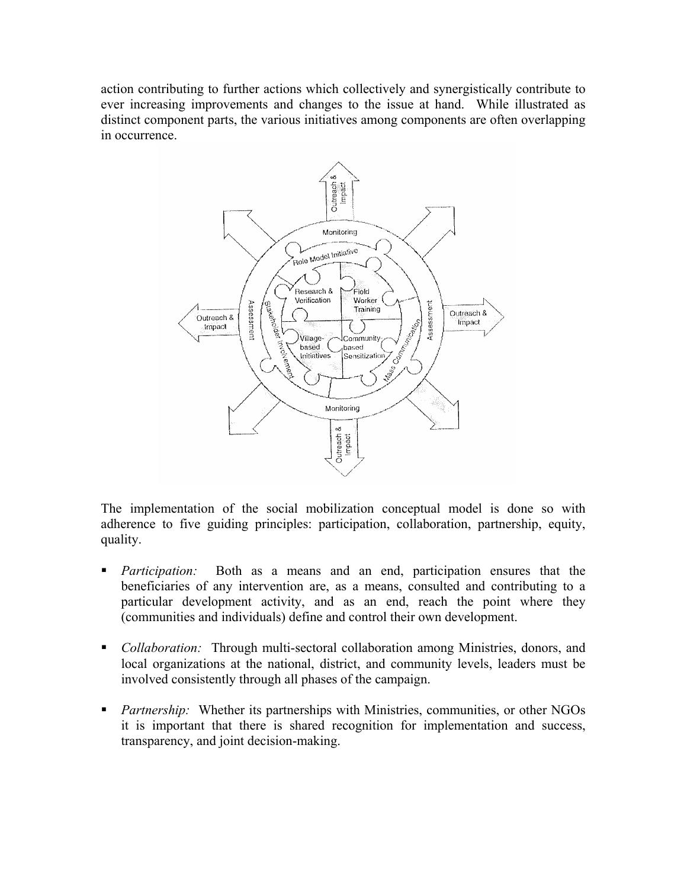action contributing to further actions which collectively and synergistically contribute to ever increasing improvements and changes to the issue at hand. While illustrated as distinct component parts, the various initiatives among components are often overlapping in occurrence.



The implementation of the social mobilization conceptual model is done so with adherence to five guiding principles: participation, collaboration, partnership, equity, quality.

- *Participation:* Both as a means and an end, participation ensures that the beneficiaries of any intervention are, as a means, consulted and contributing to a particular development activity, and as an end, reach the point where they (communities and individuals) define and control their own development.
- *Collaboration:* Through multi-sectoral collaboration among Ministries, donors, and local organizations at the national, district, and community levels, leaders must be involved consistently through all phases of the campaign.
- *Partnership:* Whether its partnerships with Ministries, communities, or other NGOs it is important that there is shared recognition for implementation and success, transparency, and joint decision-making.